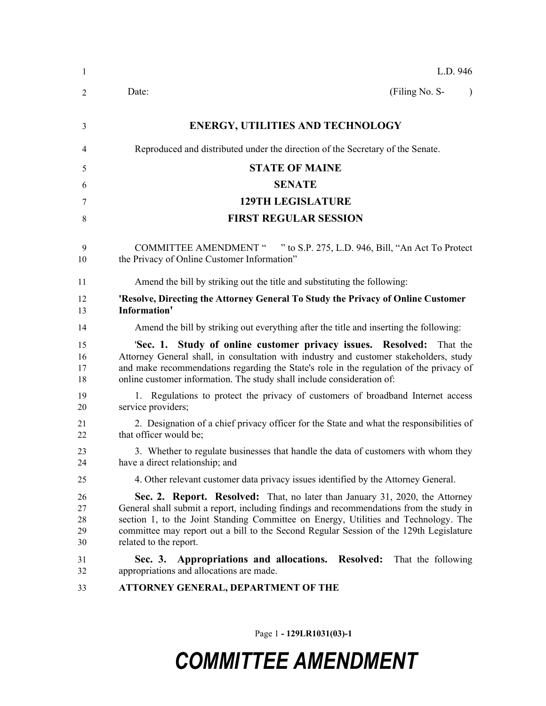| -1                         | L.D. 946                                                                                                                                                                                                                                                                                                                                                                           |  |  |
|----------------------------|------------------------------------------------------------------------------------------------------------------------------------------------------------------------------------------------------------------------------------------------------------------------------------------------------------------------------------------------------------------------------------|--|--|
| 2                          | (Filing No. S-<br>Date:<br>$\lambda$                                                                                                                                                                                                                                                                                                                                               |  |  |
| 3                          | <b>ENERGY, UTILITIES AND TECHNOLOGY</b>                                                                                                                                                                                                                                                                                                                                            |  |  |
| 4                          | Reproduced and distributed under the direction of the Secretary of the Senate.                                                                                                                                                                                                                                                                                                     |  |  |
| 5                          | <b>STATE OF MAINE</b>                                                                                                                                                                                                                                                                                                                                                              |  |  |
| 6                          | <b>SENATE</b>                                                                                                                                                                                                                                                                                                                                                                      |  |  |
| 7                          | <b>129TH LEGISLATURE</b>                                                                                                                                                                                                                                                                                                                                                           |  |  |
| 8                          | <b>FIRST REGULAR SESSION</b>                                                                                                                                                                                                                                                                                                                                                       |  |  |
| 9<br>10                    | <b>COMMITTEE AMENDMENT "</b><br>" to S.P. 275, L.D. 946, Bill, "An Act To Protect"<br>the Privacy of Online Customer Information"                                                                                                                                                                                                                                                  |  |  |
| 11                         | Amend the bill by striking out the title and substituting the following:                                                                                                                                                                                                                                                                                                           |  |  |
| 12<br>13                   | 'Resolve, Directing the Attorney General To Study the Privacy of Online Customer<br>Information'                                                                                                                                                                                                                                                                                   |  |  |
| 14                         | Amend the bill by striking out everything after the title and inserting the following:                                                                                                                                                                                                                                                                                             |  |  |
| 15<br>16<br>17<br>18       | 'Sec. 1. Study of online customer privacy issues. Resolved:<br>That the<br>Attorney General shall, in consultation with industry and customer stakeholders, study<br>and make recommendations regarding the State's role in the regulation of the privacy of<br>online customer information. The study shall include consideration of:                                             |  |  |
| 19<br>20                   | 1. Regulations to protect the privacy of customers of broadband Internet access<br>service providers;                                                                                                                                                                                                                                                                              |  |  |
| 21<br>22                   | 2. Designation of a chief privacy officer for the State and what the responsibilities of<br>that officer would be;                                                                                                                                                                                                                                                                 |  |  |
| 23<br>24                   | 3. Whether to regulate businesses that handle the data of customers with whom they<br>have a direct relationship; and                                                                                                                                                                                                                                                              |  |  |
| 25                         | 4. Other relevant customer data privacy issues identified by the Attorney General.                                                                                                                                                                                                                                                                                                 |  |  |
| 26<br>27<br>28<br>29<br>30 | Sec. 2. Report. Resolved: That, no later than January 31, 2020, the Attorney<br>General shall submit a report, including findings and recommendations from the study in<br>section 1, to the Joint Standing Committee on Energy, Utilities and Technology. The<br>committee may report out a bill to the Second Regular Session of the 129th Legislature<br>related to the report. |  |  |
| 31<br>32                   | Appropriations and allocations. Resolved: That the following<br>Sec. 3.<br>appropriations and allocations are made.                                                                                                                                                                                                                                                                |  |  |
| 33                         | ATTORNEY GENERAL, DEPARTMENT OF THE                                                                                                                                                                                                                                                                                                                                                |  |  |

Page 1 **- 129LR1031(03)-1**

## *COMMITTEE AMENDMENT*